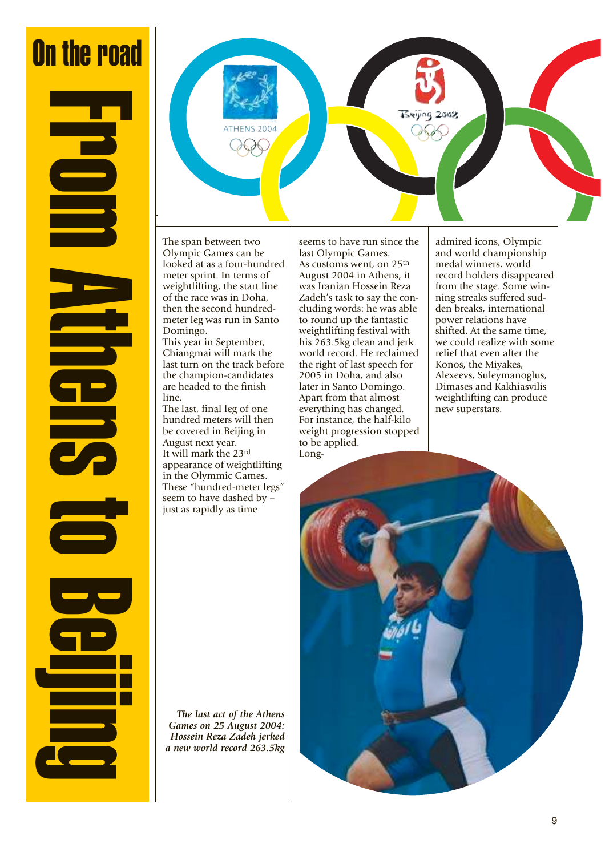## On the road

From Athens to Beijing

The span between two Olympic Games can be looked at as a four-hundred meter sprint. In terms of weightlifting, the start line of the race was in Doha, then the second hundredmeter leg was run in Santo Domingo.

This year in September, Chiangmai will mark the last turn on the track before the champion-candidates are headed to the finish line.

The last, final leg of one hundred meters will then be covered in Beijing in August next year. It will mark the 23rd appearance of weightlifting in the Olymmic Games. These "hundred-meter legs" seem to have dashed by – just as rapidly as time

seems to have run since the last Olympic Games. As customs went, on 25th August 2004 in Athens, it was Iranian Hossein Reza Zadeh's task to say the concluding words: he was able to round up the fantastic weightlifting festival with his 263.5kg clean and jerk world record. He reclaimed the right of last speech for 2005 in Doha, and also later in Santo Domingo. Apart from that almost everything has changed. For instance, the half-kilo weight progression stopped to be applied.

admired icons, Olympic and world championship medal winners, world record holders disappeared from the stage. Some winning streaks suffered sudden breaks, international power relations have shifted. At the same time, we could realize with some relief that even after the Konos, the Miyakes, Alexeevs, Suleymanoglus, Dimases and Kakhiasvilis weightlifting can produce new superstars.

Beijing 2008

*The last act of the Athens Games on 25 August 2004: Hossein Reza Zadeh jerked a new world record 263.5kg*